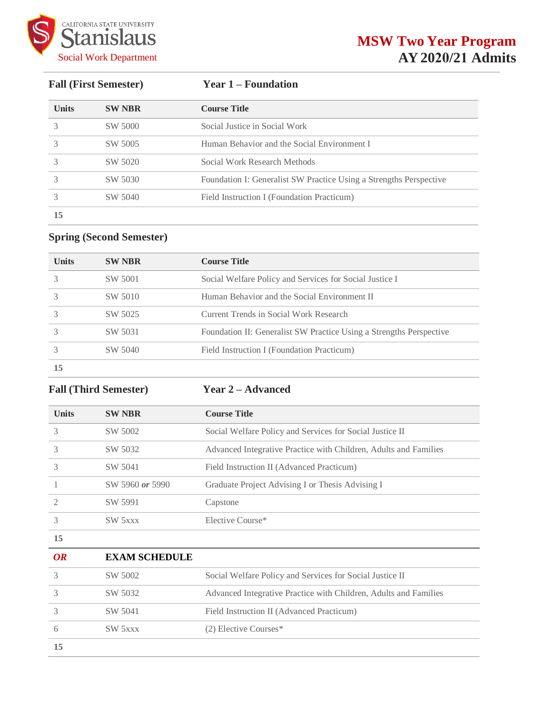

**Fall (First Semester) Year 1 – Foundation**

| <b>Units</b> | <b>SW NBR</b> | <b>Course Title</b>                                                |
|--------------|---------------|--------------------------------------------------------------------|
|              | SW 5000       | Social Justice in Social Work                                      |
|              | SW 5005       | Human Behavior and the Social Environment I                        |
|              | SW 5020       | Social Work Research Methods                                       |
|              | SW 5030       | Foundation I: Generalist SW Practice Using a Strengths Perspective |
|              | SW 5040       | Field Instruction I (Foundation Practicum)                         |
| 15           |               |                                                                    |

## **Spring (Second Semester)**

| <b>Units</b> | <b>SW NBR</b> | <b>Course Title</b>                                                 |
|--------------|---------------|---------------------------------------------------------------------|
|              | SW 5001       | Social Welfare Policy and Services for Social Justice I             |
|              | SW 5010       | Human Behavior and the Social Environment II                        |
|              | SW 5025       | Current Trends in Social Work Research                              |
|              | SW 5031       | Foundation II: Generalist SW Practice Using a Strengths Perspective |
|              | SW 5040       | Field Instruction I (Foundation Practicum)                          |
| 15           |               |                                                                     |

**Fall (Third Semester) Year 2 – Advanced**

| <b>Units</b>   | <b>SW NBR</b>   | <b>Course Title</b>                                              |
|----------------|-----------------|------------------------------------------------------------------|
| 3              | SW 5002         | Social Welfare Policy and Services for Social Justice II         |
| 3              | SW 5032         | Advanced Integrative Practice with Children, Adults and Families |
| 3              | SW 5041         | Field Instruction II (Advanced Practicum)                        |
|                | SW 5960 or 5990 | Graduate Project Advising I or Thesis Advising I                 |
| $\mathfrak{D}$ | SW 5991         | Capstone                                                         |
| 3              | SW 5xxx         | Elective Course*                                                 |
| 15             |                 |                                                                  |
| $\Omega$       | EVAM SCHEDIJI E |                                                                  |

| OR | <b>EXAM SCHEDULE</b> |                                                                  |  |
|----|----------------------|------------------------------------------------------------------|--|
|    | SW 5002              | Social Welfare Policy and Services for Social Justice II         |  |
|    | SW 5032              | Advanced Integrative Practice with Children, Adults and Families |  |
|    | SW 5041              | Field Instruction II (Advanced Practicum)                        |  |
|    | SW 5xxx              | $(2)$ Elective Courses*                                          |  |
| 15 |                      |                                                                  |  |